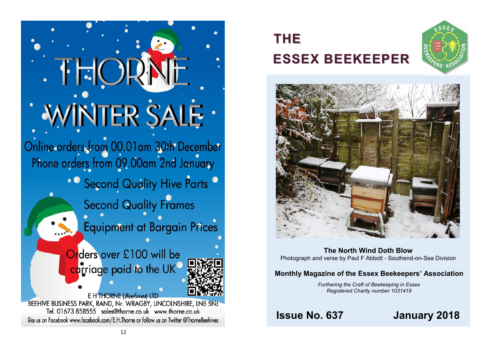$+$   $\frac{1}{2}$ WINTER SALE . Online orders from 00.01am 30th December<br>Phone orders from 09.00am 2nd January • C Second Quality Hive Parts C **Second Quality Frames Equipment at Bargain Prices** Orders over £100 will be carriage paid to the UK E H THORNE (Beehives) LTD BEEHIVE BUSINESS PARK, RAND, Nr. WRAGBY, LINCOLNSHIRE, LN8 5NJ Tel. 01673 858555 sales@thorne.co.uk www.thorne.co.uk like us on Facebook www.facebook.com/E.H.Thorne or follow us on Twitter @ThorneBeehives

# **THE ESSEX BEEKEEPER**





**The North Wind Doth Blow** Photograph and verse by Paul F Abbott - Southend-on-Sea Division

## **Monthly Magazine of the Essex Beekeepers' Association**

*Furthering the Craft of Beekeeping in Essex Registered Charity number 1031419*

## **Issue No. 637 January 2018**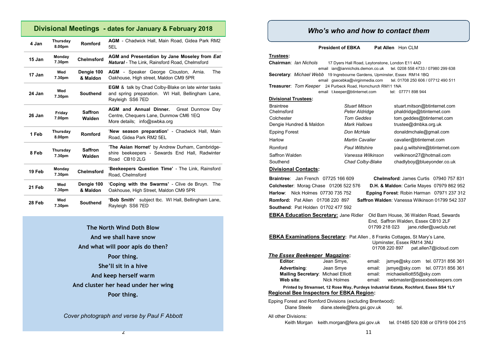## **Divisional Meetings - dates for January & February 2018**

| 4 Jan  | Thursday<br>8.00pm | Romford                  | <b>AGM</b> - Chadwick Hall, Main Road, Gidea Park RM2<br>5EL                                                                        |  |
|--------|--------------------|--------------------------|-------------------------------------------------------------------------------------------------------------------------------------|--|
| 15 Jan | Monday<br>7.30pm   | <b>Chelmsford</b>        | AGM and Presentation by Jane Moseley from Eat<br><b>Natural</b> - The Link. Rainsford Road. Chelmsford                              |  |
| 17 Jan | Wed<br>7.30pm      | Dengie 100<br>& Maldon   | <b>AGM</b> - Speaker George Clouston, Arnia.<br><b>The</b><br>Oakhouse, High street, Maldon CM9 5PR                                 |  |
| 24 Jan | Wed<br>7.30pm      | <b>Southend</b>          | <b>EGM</b> & talk by Chad Colby-Blake on late winter tasks<br>and spring preparation. WI Hall, Bellingham Lane,<br>Rayleigh SS6 7ED |  |
| 26 Jan | Friday<br>7.00pm   | <b>Saffron</b><br>Walden | <b>AGM and Annual Dinner.</b><br>Great Dunmow Day<br>Centre, Chequers Lane, Dunmow CM6 1EQ<br>More details; info@swbka.org          |  |
| 1 Feb  | Thursday<br>8.00pm | Romford                  | 'New season preparation' - Chadwick Hall, Main<br>Road. Gidea Park RM2 5EL                                                          |  |
| 8 Feb  | Thursday<br>7.30pm | <b>Saffron</b><br>Walden | 'The Asian Hornet' by Andrew Durham, Cambridge-<br>shire beekeepers - Sewards End Hall, Radwinter<br>Road CB10 2LG                  |  |
| 19 Feb | Monday<br>7.30pm   | <b>Chelmsford</b>        | 'Beekeepers Question Time' - The Link, Rainsford<br>Road, Chelmsford                                                                |  |
| 21 Feb | Wed<br>7.30pm      | Dengie 100<br>& Maldon   | 'Coping with the Swarms' - Clive de Bruyn.<br>The<br>Oakhouse, High Street, Maldon CM9 5PR                                          |  |
| 28 Feb | Wed<br>7.30pm      | <b>Southend</b>          | subject tbc. WI Hall, Bellingham Lane,<br>'Bob Smith'<br>Rayleigh SS6 7ED                                                           |  |

**The North Wind Doth Blow And we shall have snow And what will poor apis do then? Poor thing. She'll sit in a hive And keep herself warm And cluster her head under her wing Poor thing.**

*Cover photograph and verse by Paul F Abbott*

2

## *Who's who and how to contact them*

**President of EBKA** Pat Allen Hon CLM

**Trustees:**

**Chairman**: *Ian Nichols* 17 Dyers Hall Road, Leytonstone, London E11 4AD email ian@iannichols.demon.co.uk tel. 0208 558 4733 / 07980 299 638 **Secretary**: *Michael Webb* 19 Ingrebourne Gardens, Upminster, Essex RM14 1BQ email gsecebka@virginmedia.com tel. 01708 250 606 / 07712 490 511 **Treasurer**: *Tom Keeper* 24 Purbeck Road, Hornchurch RM11 1NA email t.keeper@btinternet.com tel: 07771 898 944 **Divisional Trustees:**

| <b>Braintree</b><br>Chelmsford<br>Colchester<br>Dengie Hundred & Maldon | <b>Stuart Mitson</b><br>Peter Aldridge<br><b>Tom Geddes</b><br><b>Mark Hallows</b> | stuart.mitson@btinternet.com<br>phaldridge@btinternet.com<br>tom.geddes@btinternet.com<br>trustee@dmbka.org.uk |
|-------------------------------------------------------------------------|------------------------------------------------------------------------------------|----------------------------------------------------------------------------------------------------------------|
| <b>Epping Forest</b>                                                    | Don McHale                                                                         | donaldmchale@gmail.com                                                                                         |
| Harlow                                                                  | <b>Martin Cavalier</b>                                                             | cavalier@btinternet.com                                                                                        |
| Romford                                                                 | <b>Paul Wiltshire</b>                                                              | paul.g.wiltshire@btinternet.com                                                                                |
| Saffron Walden<br>Southend                                              | Vanessa Wilkinson<br>Chad Colby-Blake                                              | vwilkinson27@hotmail.com<br>chadlyboy@blueyonder.co.uk                                                         |

#### **Divisional Contacts:**

**Braintree**: Jan French 07725 166 609 **Chelmsford**: James Curtis 07940 757 831 **Southend**: Pat Holden 01702 477 592

**Colchester**: Morag Chase 01206 522 576 **D.H. & Maldon**: Carlie Mayes 07979 862 952 **Harlow**: Nick Holmes 07730 735 752 **Epping Forest**: Robin Harman 07971 237 312 **Romford:** Pat Allen 01708 220 897 **Saffron Walden**: Vanessa Wilkinson 01799 542 337

**EBKA Education Secretary:** Jane Ridler Old Barn House, 36 Walden Road, Sewards End, Saffron Walden, Essex CB10 2LF 01799 218 023 iane.ridler@uwclub.net

| <b>EBKA Examinations Secretary:</b> Pat Allen, 8 Franks Cottages, St Mary's Lane. |                           |                       |  |  |  |
|-----------------------------------------------------------------------------------|---------------------------|-----------------------|--|--|--|
|                                                                                   | Upminster, Essex RM14 3NU |                       |  |  |  |
|                                                                                   | 01708 220 897             | pat.allen7@icloud.com |  |  |  |
| <b>The Essex Beekeeper Magazine:</b>                                              |                           |                       |  |  |  |

| Editor:                                   | Jean Smye,         |
|-------------------------------------------|--------------------|
| Advertising:                              | Jean Smye          |
| <b>Mailing Secretary: Michael Elliott</b> |                    |
| Web site:                                 | <b>Nick Holmes</b> |

email: jsmye@sky.com tel. 07731 856 361 **email:** ismye@sky.com tel. 07731 856 361 email: michaelelliott55@sky.com email: webmaster@essexbeekeepers.com

#### **Printed by Streamset, 12 Rose Way, Purdeys Industrial Estate, Rochford, Essex SS4 1LY Regional Bee Inspectors for EBKA Region:**

Epping Forest and Romford Divisions (excluding Brentwood): Diane Steele diane.steele@fera.gsi.gov.uk tel.

All other Divisions:

Keith Morgan keith.morgan@fera.gsi.gov.uk tel. 01485 520 838 or 07919 004 215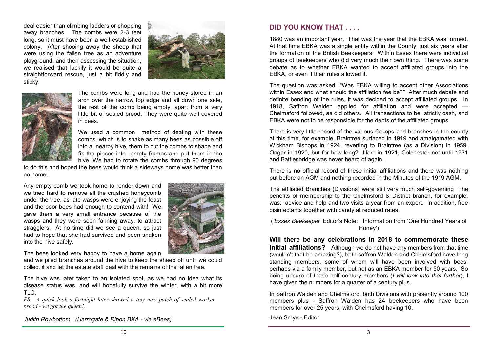deal easier than climbing ladders or chopping away branches. The combs were 2-3 feet long, so it must have been a well-established colony. After shooing away the sheep that were using the fallen tree as an adventure playground, and then assessing the situation, we realised that luckily it would be quite a straightforward rescue, just a bit fiddly and sticky.





The combs were long and had the honey stored in an arch over the narrow top edge and all down one side, the rest of the comb being empty, apart from a very little bit of sealed brood. They were quite well covered in bees.

We used a common method of dealing with these combs, which is to shake as many bees as possible off into a nearby hive, them to cut the combs to shape and fix the pieces into empty frames and put them in the hive. We had to rotate the combs through 90 degrees

to do this and hoped the bees would think a sideways home was better than no home.

Any empty comb we took home to render down and we tried hard to remove all the crushed honeycomb under the tree, as late wasps were enjoying the feast and the poor bees had enough to contend with! We gave them a very small entrance because of the wasps and they were soon fanning away, to attract stragglers. At no time did we see a queen, so just had to hope that she had survived and been shaken into the hive safely.



The bees looked very happy to have a home again

and we piled branches around the hive to keep the sheep off until we could collect it and let the estate staff deal with the remains of the fallen tree.

The hive was later taken to an isolated spot, as we had no idea what its disease status was, and will hopefully survive the winter, with a bit more TLC.

*PS. A quick look a fortnight later showed a tiny new patch of sealed worker brood - we got the queen!.*

*Judith Rowbottom (Harrogate & Ripon BKA - via eBees)*

## **DID YOU KNOW THAT . . . .**

1880 was an important year. That was the year that the EBKA was formed. At that time EBKA was a single entity within the County, just six years after the formation of the British Beekeepers. Within Essex there were individual groups of beekeepers who did very much their own thing. There was some debate as to whether EBKA wanted to accept affiliated groups into the EBKA, or even if their rules allowed it.

The question was asked "Was EBKA willing to accept other Associations within Essex and what should the affiliation fee be?" After much debate and definite bending of the rules, it was decided to accept affiliated groups. In 1918, Saffron Walden applied for affiliation and were accepted — Chelmsford followed, as did others. All transactions to be strictly cash, and EBKA were not to be responsible for the debts of the affiliated groups.

There is very little record of the various Co-ops and branches in the county at this time, for example, Braintree surfaced in 1919 and amalgamated with Wickham Bishops in 1924, reverting to Braintree (as a Division) in 1959. Ongar in 1920, but for how long? Ilford in 1921, Colchester not until 1931 and Battlesbridge was never heard of again.

There is no official record of these initial affiliations and there was nothing put before an AGM and nothing recorded in the Minutes of the 1919 AGM.

The affiliated Branches (Divisions) were still very much self-governing The benefits of membership to the Chelmsford & District branch, for example, was: advice and help and two visits a year from an expert. In addition, free disinfectants together with candy at reduced rates.

(*'Essex Beekeeper'* Editor's Note: Information from 'One Hundred Years of Honey')

**Will there be any celebrations in 2018 to commemorate these initial affiliations?** Although we do not have any members from that time (wouldn't that be amazing?), both saffron Walden and Chelmsford have long standing members, some of whom will have been involved with bees, perhaps via a family member, but not as an EBKA member for 50 years. So being unsure of those half century members (*I will look into that further*), I have given the numbers for a quarter of a century plus.

In Saffron Walden and Chelmsford, both Divisions with presently around 100 members plus - Saffron Walden has 24 beekeepers who have been members for over 25 years, with Chelmsford having 10.

Jean Smye - Editor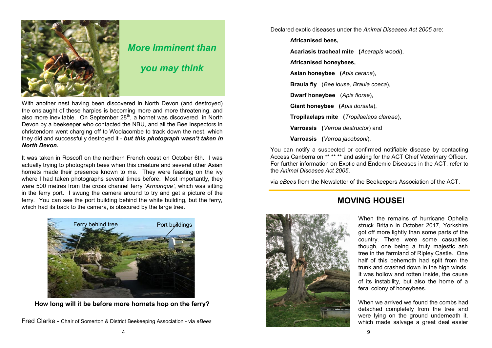

## *More Imminent than*

*you may think*

With another nest having been discovered in North Devon (and destroyed) the onslaught of these harpies is becoming more and more threatening, and also more inevitable. On September  $28<sup>th</sup>$ , a hornet was discovered in North Devon by a beekeeper who contacted the NBU, and all the Bee Inspectors in christendom went charging off to Woolacombe to track down the nest, which they did and successfully destroyed it - *but this photograph wasn't taken in North Devon.*

It was taken in Roscoff on the northern French coast on October 6th. I was actually trying to photograph bees when this creature and several other Asian hornets made their presence known to me. They were feasting on the ivy where I had taken photographs several times before. Most importantly, they were 500 metres from the cross channel ferry '*Armorique'*, which was sitting in the ferry port. I swung the camera around to try and get a picture of the ferry. You can see the port building behind the white building, but the ferry, which had its back to the camera, is obscured by the large tree.



**How long will it be before more hornets hop on the ferry?**

Declared exotic diseases under the *Animal Diseases Act 2005* are:

**Africanised bees,** 

**Acariasis tracheal mite (***Acarapis woodi*),

**Africanised honeybees,** 

**Asian honeybee (***Apis cerana*),

**Braula fly** (*Bee louse, Braula coeca*),

**Dwarf honeybee** (*Apis florae*),

**Giant honeybee (***Apis dorsata*),

**Tropilaelaps mite (***Tropilaelaps clareae*),

**Varroasis (***Varroa destructor*) and

**Varroasis (***Varroa jacobsoni*).

You can notify a suspected or confirmed notifiable disease by contacting Access Canberra on \*\* \*\* \*\* and asking for the ACT Chief Veterinary Officer. For further information on Exotic and Endemic Diseases in the ACT, refer to the *[Animal Diseases Act 2005](http://www.legislation.act.gov.au/a/2005-18/default.asp)*.

via *eBees* from the Newsletter of the Beekeepers Association of the ACT.



## **MOVING HOUSE!**

When the remains of hurricane Ophelia struck Britain in October 2017, Yorkshire got off more lightly than some parts of the country. There were some casualties though, one being a truly majestic ash tree in the farmland of Ripley Castle. One half of this behemoth had split from the trunk and crashed down in the high winds. It was hollow and rotten inside, the cause of its instability, but also the home of a feral colony of honeybees.

When we arrived we found the combs had detached completely from the tree and were lying on the ground underneath it, which made salvage a great deal easier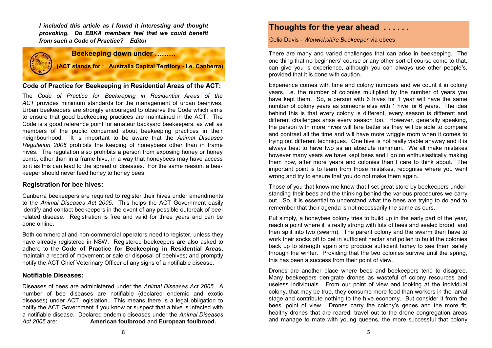*I included this article as I found it interesting and thought provoking. Do EBKA members feel that we could benefit from such a Code of Practice? Editor*



#### **Code of Practice for Beekeeping in Residential Areas of the ACT:**

The *[Code of Practice for Beekeeping in Residential Areas of the](http://www.environment.act.gov.au/__data/assets/pdf_file/0003/901983/Code-of-Practice-for-Beekeeping-in-Residential-Areas-of-the-ACT-2016.pdf)  [ACT](http://www.environment.act.gov.au/__data/assets/pdf_file/0003/901983/Code-of-Practice-for-Beekeeping-in-Residential-Areas-of-the-ACT-2016.pdf)* provides minimum standards for the management of urban beehives. Urban beekeepers are strongly encouraged to observe the Code which aims to ensure that good beekeeping practices are maintained in the ACT. The Code is a good reference point for amateur backyard beekeepers, as well as members of the public concerned about beekeeping practices in their neighbourhood. It is important to be aware that the *Animal Diseases Regulation 2006* prohibits the keeping of honeybees other than in frame hives. The regulation also prohibits a person from exposing honey or honey comb, other than in a frame hive, in a way that honeybees may have access to it as this can lead to the spread of diseases. For the same reason, a beekeeper should never feed honey to honey bees.

#### **Registration for bee hives:**

Canberra beekeepers are required to register their hives under amendments to the *Animal Diseases Act 2005*. This helps the ACT Government easily identify and contact beekeepers in the event of any possible outbreak of beerelated disease. Registration is free and valid for three years and can be done [online.](https://form.act.gov.au/smartforms/landing.htm?formCode=1224) 

Both commercial and non-commercial operators need to register, unless they have already registered in NSW*.* Registered beekeepers are also asked to adhere to the **Code of Practice for Beekeeping in Residential Areas**, maintain a record of movement or sale or disposal of beehives; and promptly notify the ACT Chief Veterinary Officer of any signs of a notifiable disease.

#### **Notifiable Diseases:**

Diseases of bees are administered under the *Animal Diseases Act 2005*. A number of bee diseases are notifiable (declared endemic and exotic diseases) under ACT legislation. This means there is a legal obligation to notify the ACT Government if you know or suspect that a hive is infected with a notifiable disease. Declared endemic diseases under the *Animal Diseases Act 2005* are: **American foulbrood** and **European foulbrood.**

## **Thoughts for the year ahead . . . . . .**

Celia Davis - *Warwickshire Beekeeper* via ebees

There are many and varied challenges that can arise in beekeeping. The one thing that no beginners' course or any other sort of course come to that, can give you is experience, although you can always use other people's, provided that it is done with caution.

Experience comes with time and colony numbers and we count it in colony years, i.e. the number of colonies multiplied by the number of years you have kept them. So, a person with 6 hives for 1 year will have the same number of colony years as someone else with 1 hive for 6 years. The idea behind this is that every colony is different, every season is different and different challenges arise every season too. However, generally speaking, the person with more hives will fare better as they will be able to compare and contrast all the time and will have more wriggle room when it comes to trying out different techniques. One hive is not really viable anyway and it is always best to have two as an absolute minimum. We all make mistakes however many years we have kept bees and I go on enthusiastically making them now, after more years and colonies than I care to think about. The important point is to learn from those mistakes, recognise where you went wrong and try to ensure that you do not make them again.

Those of you that know me know that I set great store by beekeepers understanding their bees and the thinking behind the various procedures we carry out. So, it is essential to understand what the bees are trying to do and to remember that their agenda is not necessarily the same as ours.

Put simply, a honeybee colony tries to build up in the early part of the year, reach a point where it is really strong with lots of bees and sealed brood, and then split into two (swarm). The parent colony and the swarm then have to work their socks off to get in sufficient nectar and pollen to build the colonies back up to strength again and produce sufficient honey to see them safely through the winter. Providing that the two colonies survive until the spring, this has been a success from their point of view.

Drones are another place where bees and beekeepers tend to disagree. Many beekeepers denigrate drones as wasteful of colony resources and useless individuals. From our point of view and looking at the individual colony, that may be true, they consume more food than workers in the larval stage and contribute nothing to the hive economy. But consider it from the bees' point of view. Drones carry the colony's genes and the more fit, healthy drones that are reared, travel out to the drone congregation areas and manage to mate with young queens, the more successful that colony